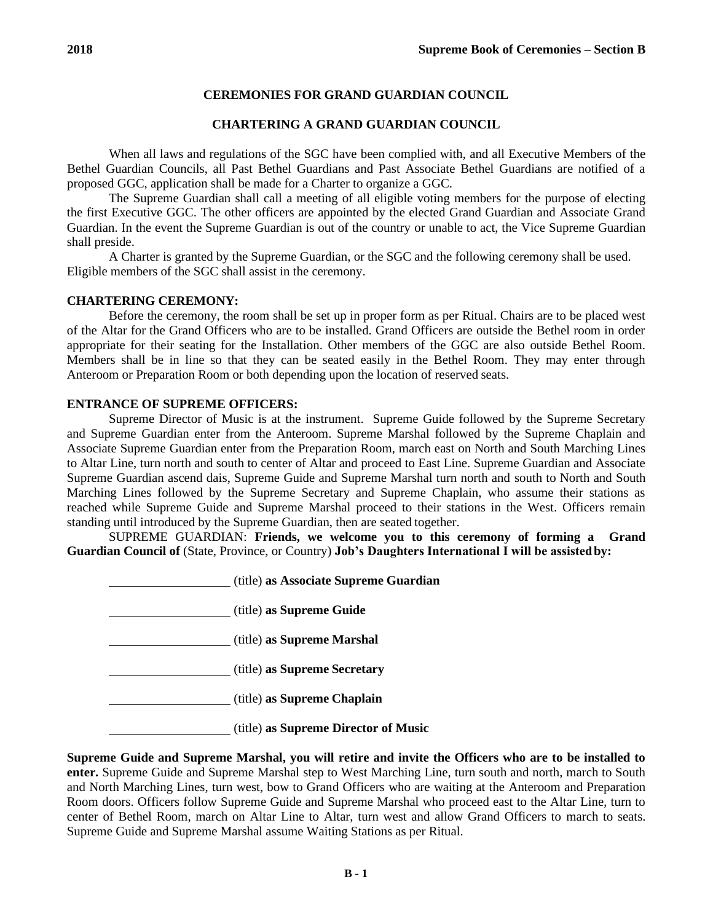# **CEREMONIES FOR GRAND GUARDIAN COUNCIL**

## **CHARTERING A GRAND GUARDIAN COUNCIL**

When all laws and regulations of the SGC have been complied with, and all Executive Members of the Bethel Guardian Councils, all Past Bethel Guardians and Past Associate Bethel Guardians are notified of a proposed GGC, application shall be made for a Charter to organize a GGC.

The Supreme Guardian shall call a meeting of all eligible voting members for the purpose of electing the first Executive GGC. The other officers are appointed by the elected Grand Guardian and Associate Grand Guardian. In the event the Supreme Guardian is out of the country or unable to act, the Vice Supreme Guardian shall preside.

A Charter is granted by the Supreme Guardian, or the SGC and the following ceremony shall be used. Eligible members of the SGC shall assist in the ceremony.

#### **CHARTERING CEREMONY:**

Before the ceremony, the room shall be set up in proper form as per Ritual. Chairs are to be placed west of the Altar for the Grand Officers who are to be installed. Grand Officers are outside the Bethel room in order appropriate for their seating for the Installation. Other members of the GGC are also outside Bethel Room. Members shall be in line so that they can be seated easily in the Bethel Room. They may enter through Anteroom or Preparation Room or both depending upon the location of reserved seats.

### **ENTRANCE OF SUPREME OFFICERS:**

Supreme Director of Music is at the instrument. Supreme Guide followed by the Supreme Secretary and Supreme Guardian enter from the Anteroom. Supreme Marshal followed by the Supreme Chaplain and Associate Supreme Guardian enter from the Preparation Room, march east on North and South Marching Lines to Altar Line, turn north and south to center of Altar and proceed to East Line. Supreme Guardian and Associate Supreme Guardian ascend dais, Supreme Guide and Supreme Marshal turn north and south to North and South Marching Lines followed by the Supreme Secretary and Supreme Chaplain, who assume their stations as reached while Supreme Guide and Supreme Marshal proceed to their stations in the West. Officers remain standing until introduced by the Supreme Guardian, then are seated together.

SUPREME GUARDIAN: **Friends, we welcome you to this ceremony of forming a Grand Guardian Council of** (State, Province, or Country) **Job's Daughters International I will be assistedby:**

| (title) as Associate Supreme Guardian |
|---------------------------------------|
| (title) as Supreme Guide              |
| (title) as Supreme Marshal            |
| (title) as Supreme Secretary          |
| (title) as Supreme Chaplain           |
| (title) as Supreme Director of Music  |

**Supreme Guide and Supreme Marshal, you will retire and invite the Officers who are to be installed to enter.** Supreme Guide and Supreme Marshal step to West Marching Line, turn south and north, march to South and North Marching Lines, turn west, bow to Grand Officers who are waiting at the Anteroom and Preparation Room doors. Officers follow Supreme Guide and Supreme Marshal who proceed east to the Altar Line, turn to center of Bethel Room, march on Altar Line to Altar, turn west and allow Grand Officers to march to seats. Supreme Guide and Supreme Marshal assume Waiting Stations as per Ritual.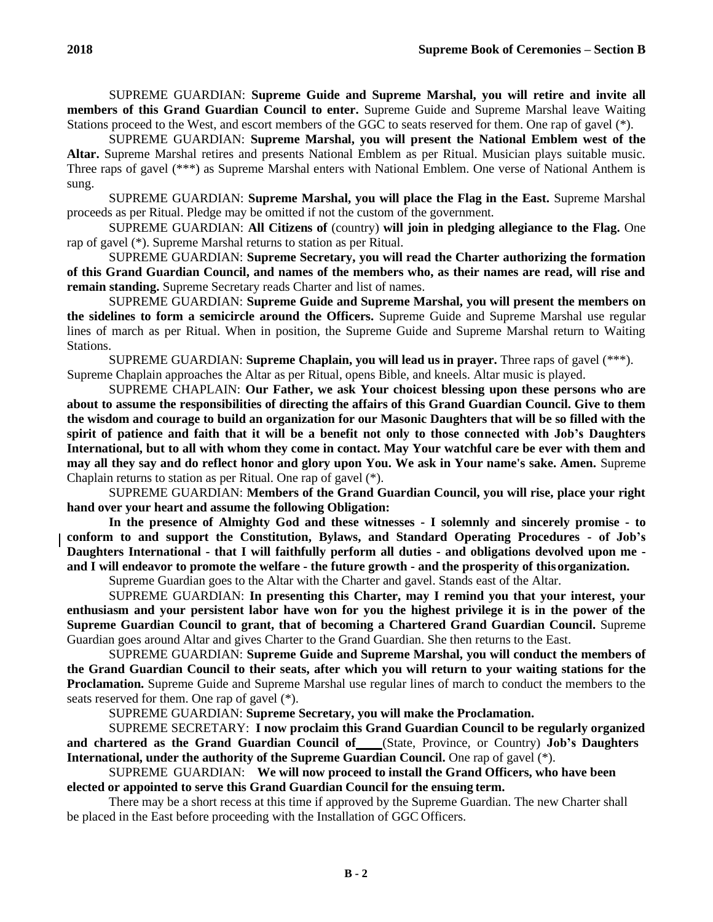SUPREME GUARDIAN: **Supreme Guide and Supreme Marshal, you will retire and invite all members of this Grand Guardian Council to enter.** Supreme Guide and Supreme Marshal leave Waiting Stations proceed to the West, and escort members of the GGC to seats reserved for them. One rap of gavel (\*).

SUPREME GUARDIAN: **Supreme Marshal, you will present the National Emblem west of the Altar.** Supreme Marshal retires and presents National Emblem as per Ritual. Musician plays suitable music. Three raps of gavel (\*\*\*) as Supreme Marshal enters with National Emblem. One verse of National Anthem is sung.

SUPREME GUARDIAN: **Supreme Marshal, you will place the Flag in the East.** Supreme Marshal proceeds as per Ritual. Pledge may be omitted if not the custom of the government.

SUPREME GUARDIAN: **All Citizens of** (country) **will join in pledging allegiance to the Flag.** One rap of gavel (\*). Supreme Marshal returns to station as per Ritual.

SUPREME GUARDIAN: **Supreme Secretary, you will read the Charter authorizing the formation of this Grand Guardian Council, and names of the members who, as their names are read, will rise and remain standing.** Supreme Secretary reads Charter and list of names.

SUPREME GUARDIAN: **Supreme Guide and Supreme Marshal, you will present the members on the sidelines to form a semicircle around the Officers.** Supreme Guide and Supreme Marshal use regular lines of march as per Ritual. When in position, the Supreme Guide and Supreme Marshal return to Waiting Stations.

SUPREME GUARDIAN: **Supreme Chaplain, you will lead us in prayer.** Three raps of gavel (\*\*\*). Supreme Chaplain approaches the Altar as per Ritual, opens Bible, and kneels. Altar music is played.

SUPREME CHAPLAIN: **Our Father, we ask Your choicest blessing upon these persons who are about to assume the responsibilities of directing the affairs of this Grand Guardian Council. Give to them the wisdom and courage to build an organization for our Masonic Daughters that will be so filled with the spirit of patience and faith that it will be a benefit not only to those connected with Job's Daughters International, but to all with whom they come in contact. May Your watchful care be ever with them and may all they say and do reflect honor and glory upon You. We ask in Your name's sake. Amen.** Supreme Chaplain returns to station as per Ritual. One rap of gavel (\*).

SUPREME GUARDIAN: **Members of the Grand Guardian Council, you will rise, place your right hand over your heart and assume the following Obligation:**

**In the presence of Almighty God and these witnesses - I solemnly and sincerely promise - to conform to and support the Constitution, Bylaws, and Standard Operating Procedures - of Job's Daughters International - that I will faithfully perform all duties - and obligations devolved upon me and I will endeavor to promote the welfare - the future growth - and the prosperity of thisorganization.**

Supreme Guardian goes to the Altar with the Charter and gavel. Stands east of the Altar.

SUPREME GUARDIAN: **In presenting this Charter, may I remind you that your interest, your enthusiasm and your persistent labor have won for you the highest privilege it is in the power of the Supreme Guardian Council to grant, that of becoming a Chartered Grand Guardian Council.** Supreme Guardian goes around Altar and gives Charter to the Grand Guardian. She then returns to the East.

SUPREME GUARDIAN: **Supreme Guide and Supreme Marshal, you will conduct the members of the Grand Guardian Council to their seats, after which you will return to your waiting stations for the Proclamation.** Supreme Guide and Supreme Marshal use regular lines of march to conduct the members to the seats reserved for them. One rap of gavel (\*).

SUPREME GUARDIAN: **Supreme Secretary, you will make the Proclamation.**

SUPREME SECRETARY: **I now proclaim this Grand Guardian Council to be regularly organized and chartered as the Grand Guardian Council of** (State, Province, or Country) **Job's Daughters International, under the authority of the Supreme Guardian Council.** One rap of gavel (\*).

SUPREME GUARDIAN: **We will now proceed to install the Grand Officers, who have been elected or appointed to serve this Grand Guardian Council for the ensuing term.**

There may be a short recess at this time if approved by the Supreme Guardian. The new Charter shall be placed in the East before proceeding with the Installation of GGC Officers.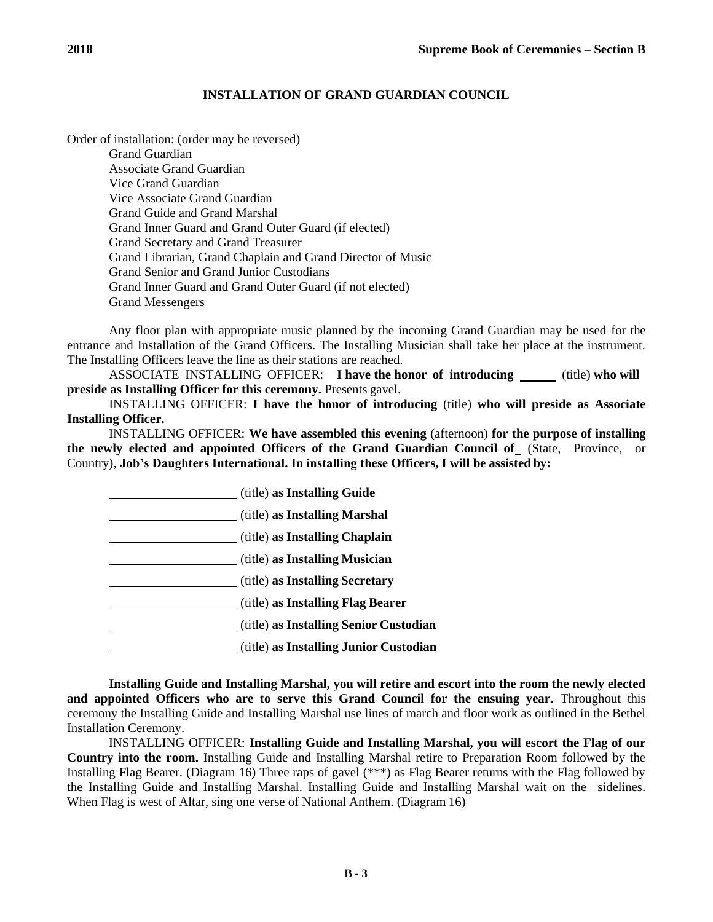## **INSTALLATION OF GRAND GUARDIAN COUNCIL**

Order of installation: (order may be reversed) Grand Guardian Associate Grand Guardian Vice Grand Guardian Vice Associate Grand Guardian Grand Guide and Grand Marshal Grand Inner Guard and Grand Outer Guard (if elected) Grand Secretary and Grand Treasurer Grand Librarian, Grand Chaplain and Grand Director of Music Grand Senior and Grand Junior Custodians Grand Inner Guard and Grand Outer Guard (if not elected) Grand Messengers

Any floor plan with appropriate music planned by the incoming Grand Guardian may be used for the entrance and Installation of the Grand Officers. The Installing Musician shall take her place at the instrument. The Installing Officers leave the line as their stations are reached.

ASSOCIATE INSTALLING OFFICER: I have the honor of introducing \_\_\_\_\_ (title) who will **preside as Installing Officer for this ceremony.** Presents gavel.

INSTALLING OFFICER: **I have the honor of introducing** (title) **who will preside as Associate Installing Officer.**

INSTALLING OFFICER: **We have assembled this evening** (afternoon) **for the purpose of installing the newly elected and appointed Officers of the Grand Guardian Council of** (State, Province, or Country), **Job's Daughters International. In installing these Officers, I will be assisted by:**

(title) **as Installing Guide** (title) **as Installing Marshal** (title) **as Installing Chaplain** (title) **as Installing Musician** (title) **as Installing Secretary** (title) **as Installing Flag Bearer** (title) **as Installing Senior Custodian** (title) **as Installing Junior Custodian**

**Installing Guide and Installing Marshal, you will retire and escort into the room the newly elected and appointed Officers who are to serve this Grand Council for the ensuing year.** Throughout this ceremony the Installing Guide and Installing Marshal use lines of march and floor work as outlined in the Bethel Installation Ceremony.

INSTALLING OFFICER: **Installing Guide and Installing Marshal, you will escort the Flag of our Country into the room.** Installing Guide and Installing Marshal retire to Preparation Room followed by the Installing Flag Bearer. (Diagram 16) Three raps of gavel (\*\*\*) as Flag Bearer returns with the Flag followed by the Installing Guide and Installing Marshal. Installing Guide and Installing Marshal wait on the sidelines. When Flag is west of Altar, sing one verse of National Anthem. (Diagram 16)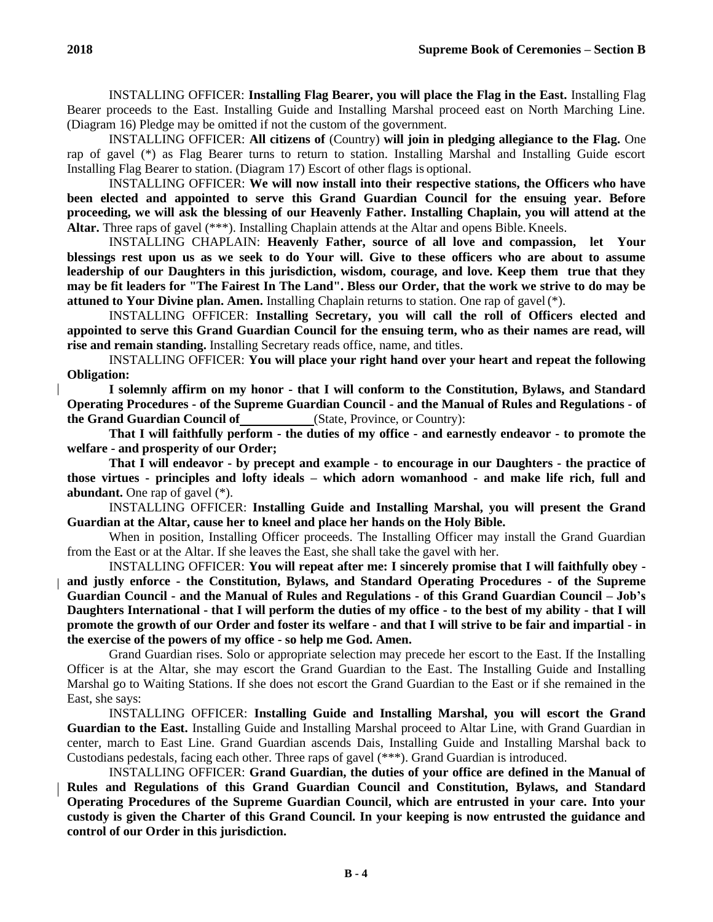INSTALLING OFFICER: **Installing Flag Bearer, you will place the Flag in the East.** Installing Flag Bearer proceeds to the East. Installing Guide and Installing Marshal proceed east on North Marching Line. (Diagram 16) Pledge may be omitted if not the custom of the government.

INSTALLING OFFICER: **All citizens of** (Country) **will join in pledging allegiance to the Flag.** One rap of gavel (\*) as Flag Bearer turns to return to station. Installing Marshal and Installing Guide escort Installing Flag Bearer to station. (Diagram 17) Escort of other flags is optional.

INSTALLING OFFICER: **We will now install into their respective stations, the Officers who have been elected and appointed to serve this Grand Guardian Council for the ensuing year. Before proceeding, we will ask the blessing of our Heavenly Father. Installing Chaplain, you will attend at the Altar.** Three raps of gavel (\*\*\*). Installing Chaplain attends at the Altar and opens Bible. Kneels.

INSTALLING CHAPLAIN: **Heavenly Father, source of all love and compassion, let Your blessings rest upon us as we seek to do Your will. Give to these officers who are about to assume leadership of our Daughters in this jurisdiction, wisdom, courage, and love. Keep them true that they may be fit leaders for "The Fairest In The Land". Bless our Order, that the work we strive to do may be attuned to Your Divine plan. Amen.** Installing Chaplain returns to station. One rap of gavel (\*).

INSTALLING OFFICER: **Installing Secretary, you will call the roll of Officers elected and appointed to serve this Grand Guardian Council for the ensuing term, who as their names are read, will rise and remain standing.** Installing Secretary reads office, name, and titles.

INSTALLING OFFICER: **You will place your right hand over your heart and repeat the following Obligation:**

**I solemnly affirm on my honor - that I will conform to the Constitution, Bylaws, and Standard Operating Procedures - of the Supreme Guardian Council - and the Manual of Rules and Regulations - of the Grand Guardian Council of** (State, Province, or Country):

**That I will faithfully perform - the duties of my office - and earnestly endeavor - to promote the welfare - and prosperity of our Order;**

**That I will endeavor - by precept and example - to encourage in our Daughters - the practice of those virtues - principles and lofty ideals – which adorn womanhood - and make life rich, full and abundant.** One rap of gavel (\*).

INSTALLING OFFICER: **Installing Guide and Installing Marshal, you will present the Grand Guardian at the Altar, cause her to kneel and place her hands on the Holy Bible.**

When in position, Installing Officer proceeds. The Installing Officer may install the Grand Guardian from the East or at the Altar. If she leaves the East, she shall take the gavel with her.

INSTALLING OFFICER: **You will repeat after me: I sincerely promise that I will faithfully obey and justly enforce - the Constitution, Bylaws, and Standard Operating Procedures - of the Supreme Guardian Council - and the Manual of Rules and Regulations - of this Grand Guardian Council – Job's Daughters International - that I will perform the duties of my office - to the best of my ability - that I will promote the growth of our Order and foster its welfare - and that I will strive to be fair and impartial - in the exercise of the powers of my office - so help me God. Amen.**

Grand Guardian rises. Solo or appropriate selection may precede her escort to the East. If the Installing Officer is at the Altar, she may escort the Grand Guardian to the East. The Installing Guide and Installing Marshal go to Waiting Stations. If she does not escort the Grand Guardian to the East or if she remained in the East, she says:

INSTALLING OFFICER: **Installing Guide and Installing Marshal, you will escort the Grand Guardian to the East.** Installing Guide and Installing Marshal proceed to Altar Line, with Grand Guardian in center, march to East Line. Grand Guardian ascends Dais, Installing Guide and Installing Marshal back to Custodians pedestals, facing each other. Three raps of gavel (\*\*\*). Grand Guardian is introduced.

INSTALLING OFFICER: **Grand Guardian, the duties of your office are defined in the Manual of Rules and Regulations of this Grand Guardian Council and Constitution, Bylaws, and Standard Operating Procedures of the Supreme Guardian Council, which are entrusted in your care. Into your custody is given the Charter of this Grand Council. In your keeping is now entrusted the guidance and control of our Order in this jurisdiction.**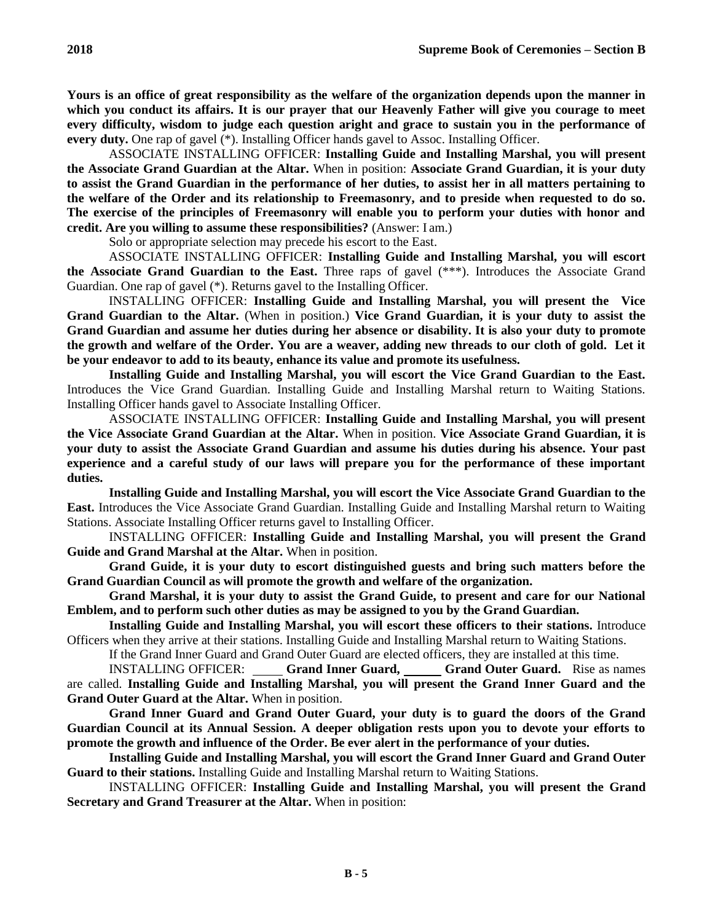**Yours is an office of great responsibility as the welfare of the organization depends upon the manner in which you conduct its affairs. It is our prayer that our Heavenly Father will give you courage to meet every difficulty, wisdom to judge each question aright and grace to sustain you in the performance of every duty.** One rap of gavel (\*). Installing Officer hands gavel to Assoc. Installing Officer.

ASSOCIATE INSTALLING OFFICER: **Installing Guide and Installing Marshal, you will present the Associate Grand Guardian at the Altar.** When in position: **Associate Grand Guardian, it is your duty to assist the Grand Guardian in the performance of her duties, to assist her in all matters pertaining to the welfare of the Order and its relationship to Freemasonry, and to preside when requested to do so. The exercise of the principles of Freemasonry will enable you to perform your duties with honor and credit. Are you willing to assume these responsibilities?** (Answer: I am.)

Solo or appropriate selection may precede his escort to the East.

ASSOCIATE INSTALLING OFFICER: **Installing Guide and Installing Marshal, you will escort the Associate Grand Guardian to the East.** Three raps of gavel (\*\*\*). Introduces the Associate Grand Guardian. One rap of gavel (\*). Returns gavel to the Installing Officer.

INSTALLING OFFICER: **Installing Guide and Installing Marshal, you will present the Vice Grand Guardian to the Altar.** (When in position.) **Vice Grand Guardian, it is your duty to assist the Grand Guardian and assume her duties during her absence or disability. It is also your duty to promote the growth and welfare of the Order. You are a weaver, adding new threads to our cloth of gold. Let it be your endeavor to add to its beauty, enhance its value and promote its usefulness.**

**Installing Guide and Installing Marshal, you will escort the Vice Grand Guardian to the East.**  Introduces the Vice Grand Guardian. Installing Guide and Installing Marshal return to Waiting Stations. Installing Officer hands gavel to Associate Installing Officer.

ASSOCIATE INSTALLING OFFICER: **Installing Guide and Installing Marshal, you will present the Vice Associate Grand Guardian at the Altar.** When in position. **Vice Associate Grand Guardian, it is your duty to assist the Associate Grand Guardian and assume his duties during his absence. Your past experience and a careful study of our laws will prepare you for the performance of these important duties.**

**Installing Guide and Installing Marshal, you will escort the Vice Associate Grand Guardian to the East.** Introduces the Vice Associate Grand Guardian. Installing Guide and Installing Marshal return to Waiting Stations. Associate Installing Officer returns gavel to Installing Officer.

INSTALLING OFFICER: **Installing Guide and Installing Marshal, you will present the Grand Guide and Grand Marshal at the Altar.** When in position.

**Grand Guide, it is your duty to escort distinguished guests and bring such matters before the Grand Guardian Council as will promote the growth and welfare of the organization.**

**Grand Marshal, it is your duty to assist the Grand Guide, to present and care for our National Emblem, and to perform such other duties as may be assigned to you by the Grand Guardian.**

**Installing Guide and Installing Marshal, you will escort these officers to their stations.** Introduce Officers when they arrive at their stations. Installing Guide and Installing Marshal return to Waiting Stations.

If the Grand Inner Guard and Grand Outer Guard are elected officers, they are installed at this time.

INSTALLING OFFICER: **Grand Inner Guard, Grand Outer Guard.** Rise as names are called. **Installing Guide and Installing Marshal, you will present the Grand Inner Guard and the Grand Outer Guard at the Altar.** When in position.

**Grand Inner Guard and Grand Outer Guard, your duty is to guard the doors of the Grand Guardian Council at its Annual Session. A deeper obligation rests upon you to devote your efforts to promote the growth and influence of the Order. Be ever alert in the performance of your duties.**

**Installing Guide and Installing Marshal, you will escort the Grand Inner Guard and Grand Outer Guard to their stations.** Installing Guide and Installing Marshal return to Waiting Stations.

INSTALLING OFFICER: **Installing Guide and Installing Marshal, you will present the Grand Secretary and Grand Treasurer at the Altar.** When in position: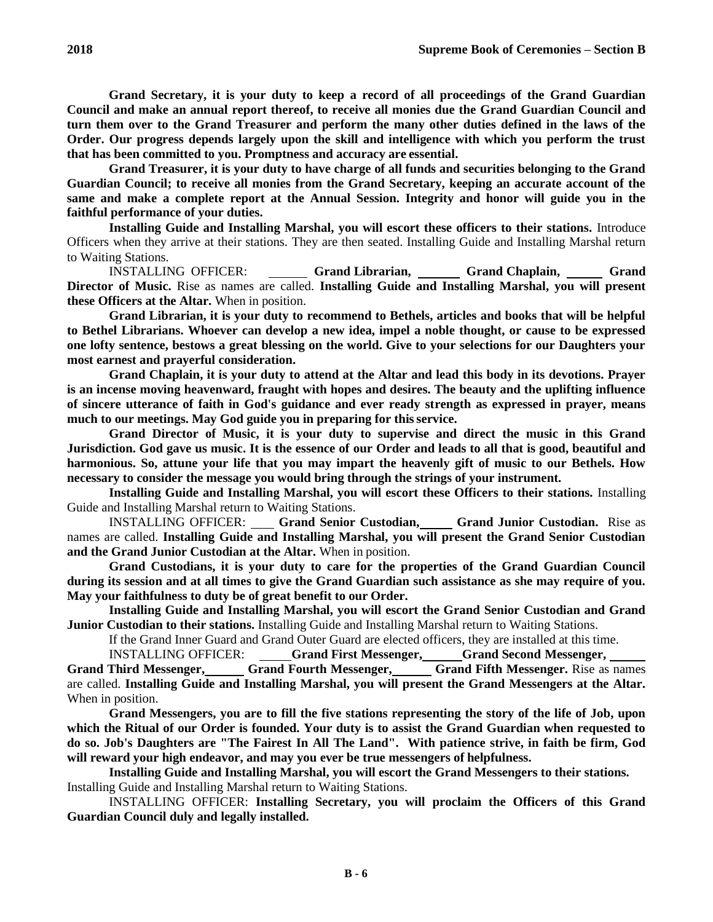**Grand Secretary, it is your duty to keep a record of all proceedings of the Grand Guardian Council and make an annual report thereof, to receive all monies due the Grand Guardian Council and turn them over to the Grand Treasurer and perform the many other duties defined in the laws of the Order. Our progress depends largely upon the skill and intelligence with which you perform the trust that has been committed to you. Promptness and accuracy are essential.**

**Grand Treasurer, it is your duty to have charge of all funds and securities belonging to the Grand Guardian Council; to receive all monies from the Grand Secretary, keeping an accurate account of the same and make a complete report at the Annual Session. Integrity and honor will guide you in the faithful performance of your duties.**

**Installing Guide and Installing Marshal, you will escort these officers to their stations.** Introduce Officers when they arrive at their stations. They are then seated. Installing Guide and Installing Marshal return to Waiting Stations.

INSTALLING OFFICER: **Grand Librarian, Grand Chaplain, Grand Director of Music.** Rise as names are called. **Installing Guide and Installing Marshal, you will present these Officers at the Altar.** When in position.

**Grand Librarian, it is your duty to recommend to Bethels, articles and books that will be helpful to Bethel Librarians. Whoever can develop a new idea, impel a noble thought, or cause to be expressed one lofty sentence, bestows a great blessing on the world. Give to your selections for our Daughters your most earnest and prayerful consideration.**

**Grand Chaplain, it is your duty to attend at the Altar and lead this body in its devotions. Prayer is an incense moving heavenward, fraught with hopes and desires. The beauty and the uplifting influence of sincere utterance of faith in God's guidance and ever ready strength as expressed in prayer, means much to our meetings. May God guide you in preparing for thisservice.**

**Grand Director of Music, it is your duty to supervise and direct the music in this Grand Jurisdiction. God gave us music. It is the essence of our Order and leads to all that is good, beautiful and harmonious. So, attune your life that you may impart the heavenly gift of music to our Bethels. How necessary to consider the message you would bring through the strings of your instrument.**

**Installing Guide and Installing Marshal, you will escort these Officers to their stations.** Installing Guide and Installing Marshal return to Waiting Stations.

INSTALLING OFFICER: Grand Senior Custodian, Grand Junior Custodian. Rise as names are called. **Installing Guide and Installing Marshal, you will present the Grand Senior Custodian and the Grand Junior Custodian at the Altar.** When in position.

**Grand Custodians, it is your duty to care for the properties of the Grand Guardian Council during its session and at all times to give the Grand Guardian such assistance as she may require of you. May your faithfulness to duty be of great benefit to our Order.**

**Installing Guide and Installing Marshal, you will escort the Grand Senior Custodian and Grand Junior Custodian to their stations.** Installing Guide and Installing Marshal return to Waiting Stations.

If the Grand Inner Guard and Grand Outer Guard are elected officers, they are installed at this time.

INSTALLING OFFICER: **Grand First Messenger, Grand Second Messenger,** Grand Third Messenger, Grand Fourth Messenger, Grand Fifth Messenger. Rise as names are called. **Installing Guide and Installing Marshal, you will present the Grand Messengers at the Altar.**  When in position.

**Grand Messengers, you are to fill the five stations representing the story of the life of Job, upon which the Ritual of our Order is founded. Your duty is to assist the Grand Guardian when requested to do so. Job's Daughters are "The Fairest In All The Land". With patience strive, in faith be firm, God will reward your high endeavor, and may you ever be true messengers of helpfulness.**

**Installing Guide and Installing Marshal, you will escort the Grand Messengers to their stations.** Installing Guide and Installing Marshal return to Waiting Stations.

INSTALLING OFFICER: **Installing Secretary, you will proclaim the Officers of this Grand Guardian Council duly and legally installed.**